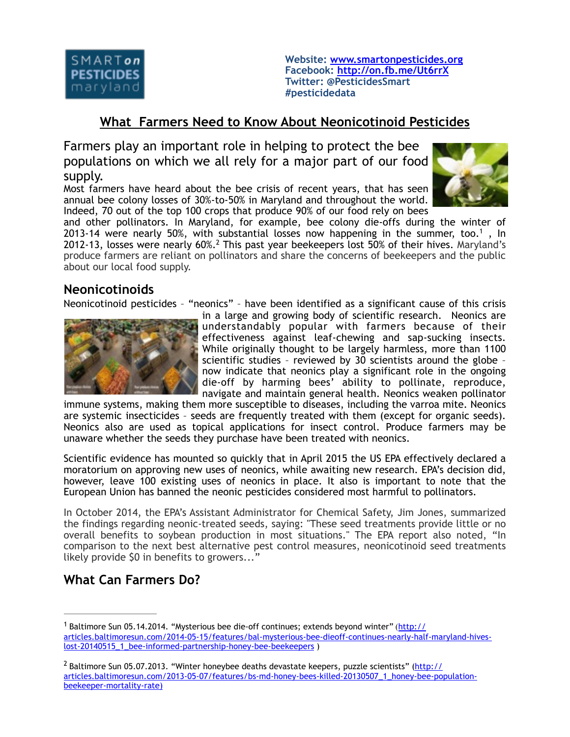

**Website: [www.smartonpesticides.org](http://www.smartonpesticides.org) Facebook:<http://on.fb.me/Ut6rrX> Twitter: @PesticidesSmart #pesticidedata**

## **What Farmers Need to Know About Neonicotinoid Pesticides**

Farmers play an important role in helping to protect the bee populations on which we all rely for a major part of our food supply.

Most farmers have heard about the bee crisis of recent years, that has seen annual bee colony losses of 30%-to-50% in Maryland and throughout the world. Indeed, 70 out of the top 100 crops that produce 90% of our food rely on bees



and other pollinators. In Maryland, for example, bee colony die-offs during the winter of 2013-14 were nearly 50%, with substantial losses now happening in the summer, too.<sup>1</sup>, In 2012-13, losses were nearly 60%.<sup>2</sup> This past year beekeepers lost 50% of their hives. Maryland's produce farmers are reliant on pollinators and share the concerns of beekeepers and the public about our local food supply.

## **Neonicotinoids**

Neonicotinoid pesticides – "neonics" – have been identified as a significant cause of this crisis



in a large and growing body of scientific research. Neonics are understandably popular with farmers because of their effectiveness against leaf-chewing and sap-sucking insects. While originally thought to be largely harmless, more than 1100 scientific studies – reviewed by 30 scientists around the globe – now indicate that neonics play a significant role in the ongoing die-off by harming bees' ability to pollinate, reproduce, navigate and maintain general health. Neonics weaken pollinator

immune systems, making them more susceptible to diseases, including the varroa mite. Neonics are systemic insecticides – seeds are frequently treated with them (except for organic seeds). Neonics also are used as topical applications for insect control. Produce farmers may be unaware whether the seeds they purchase have been treated with neonics.

Scientific evidence has mounted so quickly that in April 2015 the US EPA effectively declared a moratorium on approving new uses of neonics, while awaiting new research. EPA's decision did, however, leave 100 existing uses of neonics in place. It also is important to note that the European Union has banned the neonic pesticides considered most harmful to pollinators.

In October 2014, the EPA's Assistant Administrator for Chemical Safety, Jim Jones, summarized the findings regarding neonic-treated seeds, saying: "These seed treatments provide little or no overall benefits to soybean production in most situations." The EPA report also noted, "In comparison to the next best alternative pest control measures, neonicotinoid seed treatments likely provide \$0 in benefits to growers..."

## **What Can Farmers Do?**

<sup>&</sup>lt;sup>1</sup> Baltimore Sun 05.14.2014. "Mysterious bee die-off continues; extends beyond winter" (http:// [articles.baltimoresun.com/2014-05-15/features/bal-mysterious-bee-dieoff-continues-nearly-half-maryland-hives](http://articles.baltimoresun.com/2014-05-15/features/bal-mysterious-bee-dieoff-continues-nearly-half-maryland-hives-lost-20140515_1_bee-informed-partnership-honey-bee-beekeepers)lost-20140515\_1\_bee-informed-partnership-honey-bee-beekeepers )

<sup>&</sup>lt;sup>2</sup> Baltimore Sun 05.07.2013. "Winter honeybee deaths devastate keepers, puzzle scientists" (http:// [articles.baltimoresun.com/2013-05-07/features/bs-md-honey-bees-killed-20130507\\_1\\_honey-bee-population](http://articles.baltimoresun.com/2013-05-07/features/bs-md-honey-bees-killed-20130507_1_honey-bee-population-beekeeper-mortality-rate)beekeeper-mortality-rate)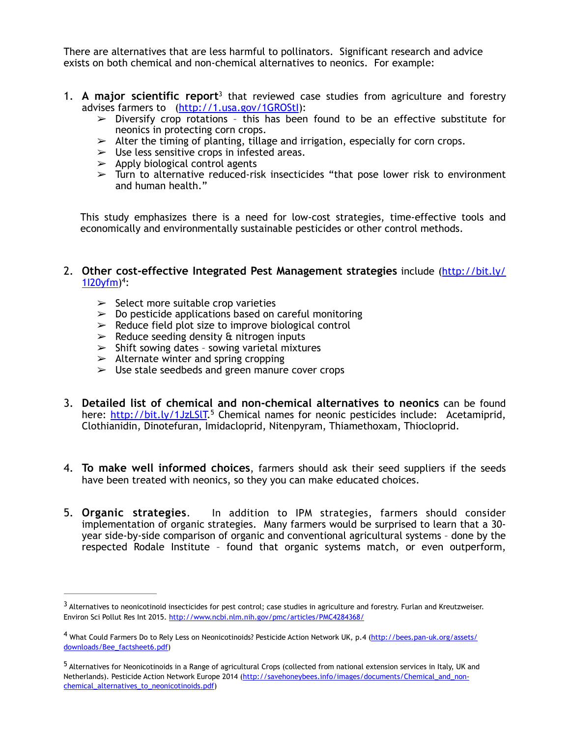There are alternatives that are less harmful to pollinators. Significant research and advice exists on both chemical and non-chemical alternatives to neonics. For example:

- 1. **A major scientific report**<sup>3</sup> that reviewed case studies from agriculture and forestry advises farmers to [\(http://1.usa.gov/1GROStI](http://1.usa.gov/1GROStI)):
	- $\geq$  Diversify crop rotations this has been found to be an effective substitute for neonics in protecting corn crops.
	- $\geq$  Alter the timing of planting, tillage and irrigation, especially for corn crops.
	- $\geq$  Use less sensitive crops in infested areas.
	- $\geq$  Apply biological control agents
	- $\triangleright$  Turn to alternative reduced-risk insecticides "that pose lower risk to environment and human health."

This study emphasizes there is a need for low-cost strategies, time-effective tools and economically and environmentally sustainable pesticides or other control methods.

## 2. **[Other cost-effective Integrated Pest Management strategies](http://bit.ly/1I20yfm)** include (http://bit.ly/  $1120 \text{vfm}$ <sup>4</sup>:

- $\geq$  Select more suitable crop varieties
- $\geq 0$  Do pesticide applications based on careful monitoring
- $\geq$  Reduce field plot size to improve biological control
- $\geq$  Reduce seeding density & nitrogen inputs
- $\geq$  Shift sowing dates sowing varietal mixtures
- $\geq$  Alternate winter and spring cropping
- $>$  Use stale seedbeds and green manure cover crops
- 3. **Detailed list of chemical and non-chemical alternatives to neonics** can be found here: http://bit.ly/1JzLSIT.<sup>5</sup> Chemical names for neonic pesticides include: Acetamiprid, Clothianidin, Dinotefuran, Imidacloprid, Nitenpyram, Thiamethoxam, Thiocloprid.
- 4. **To make well informed choices**, farmers should ask their seed suppliers if the seeds have been treated with neonics, so they you can make educated choices.
- 5. **Organic strategies**. In addition to IPM strategies, farmers should consider implementation of organic strategies. Many farmers would be surprised to learn that a 30 year side-by-side comparison of organic and conventional agricultural systems – done by the respected Rodale Institute – found that organic systems match, or even outperform,

<sup>&</sup>lt;sup>3</sup> Alternatives to neonicotinoid insecticides for pest control; case studies in agriculture and forestry. Furlan and Kreutzweiser. Environ Sci Pollut Res Int 2015. <http://www.ncbi.nlm.nih.gov/pmc/articles/PMC4284368/>

<sup>4</sup> [What Could Farmers Do to Rely Less on Neonicotinoids? Pesticide Action Network UK, p.4 \(http://bees.pan-uk.org/assets/](http://bees.pan-uk.org/assets/downloads/Bee_factsheet6.pdf) downloads/Bee\_factsheet6.pdf)

<sup>&</sup>lt;sup>5</sup> Alternatives for Neonicotinoids in a Range of agricultural Crops (collected from national extension services in Italy, UK and [Netherlands\). Pesticide Action Network Europe 2014 \(http://savehoneybees.info/images/documents/Chemical\\_and\\_non](http://savehoneybees.info/images/documents/Chemical_and_non-chemical_alternatives_to_neonicotinoids.pdf)chemical\_alternatives\_to\_neonicotinoids.pdf)